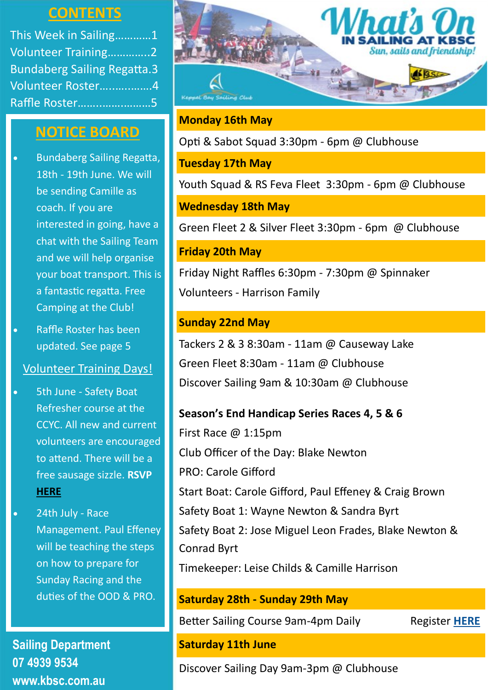## **CONTENTS**

This Week in Sailing…………1 Volunteer Training…………..2 Bundaberg Sailing Regatta.3 Volunteer Roster…..…..…….4 Raffle Roster……..…….………5

## **NOTICE BOARD**

- Bundaberg Sailing Regatta, 18th - 19th June. We will be sending Camille as coach. If you are interested in going, have a chat with the Sailing Team and we will help organise your boat transport. This is a fantastic regatta. Free Camping at the Club!
- Raffle Roster has been updated. See page 5

## Volunteer Training Days!

- 5th June Safety Boat Refresher course at the CCYC. All new and current volunteers are encouraged to attend. There will be a free sausage sizzle. **RSVP [HERE](https://www.revolutionise.com.au/kbsc/events/139038/)**
- 24th July Race Management. Paul Effeney will be teaching the steps on how to prepare for Sunday Racing and the duties of the OOD & PRO.

**Sailing Department 07 4939 9534 www.kbsc.com.au**



## **Monday 16th May**

Opti & Sabot Squad 3:30pm - 6pm @ Clubhouse

**Tuesday 17th May**

Youth Squad & RS Feva Fleet 3:30pm - 6pm @ Clubhouse

**Wednesday 18th May**

Green Fleet 2 & Silver Fleet 3:30pm - 6pm @ Clubhouse

## **Friday 20th May**

Friday Night Raffles 6:30pm - 7:30pm @ Spinnaker Volunteers - Harrison Family

## **Sunday 22nd May**

Tackers 2 & 3 8:30am - 11am @ Causeway Lake Green Fleet 8:30am - 11am @ Clubhouse Discover Sailing 9am & 10:30am @ Clubhouse

### **Season's End Handicap Series Races 4, 5 & 6**

First Race @ 1:15pm Club Officer of the Day: Blake Newton PRO: Carole Gifford Start Boat: Carole Gifford, Paul Effeney & Craig Brown Safety Boat 1: Wayne Newton & Sandra Byrt Safety Boat 2: Jose Miguel Leon Frades, Blake Newton & Conrad Byrt Timekeeper: Leise Childs & Camille Harrison

## **Saturday 28th - Sunday 29th May**

Better Sailing Course 9am-4pm Daily Register [HERE](https://www.revolutionise.com.au/kbsc/events/125471/)

## **Saturday 11th June**

Discover Sailing Day 9am-3pm @ Clubhouse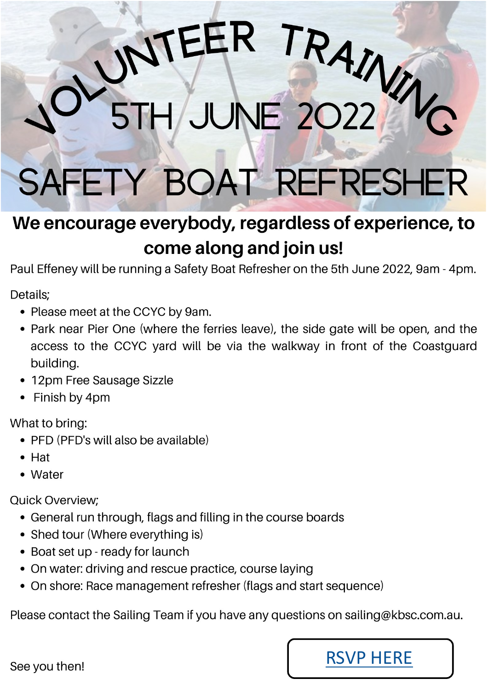# SAFETY BOAT REFRESHER

**JUNE 2022** 

EER

# We encourage everybody, regardless of experience, to come along and join us!

Paul Effeney will be running a Safety Boat Refresher on the 5th June 2022, 9am - 4pm.

Details:

- Please meet at the CCYC by 9am.
- Park near Pier One (where the ferries leave), the side gate will be open, and the access to the CCYC yard will be via the walkway in front of the Coastguard building.
- 12pm Free Sausage Sizzle
- Finish by 4pm

What to bring:

- PFD (PFD's will also be available)
- $\bullet$  Hat
- Water

**Quick Overview:** 

- General run through, flags and filling in the course boards
- Shed tour (Where everything is)
- Boat set up ready for launch
- On water: driving and rescue practice, course laying
- On shore: Race management refresher (flags and start sequence)

Please contact the Sailing Team if you have any questions on sailing@kbsc.com.au.



RAINWI

See you then!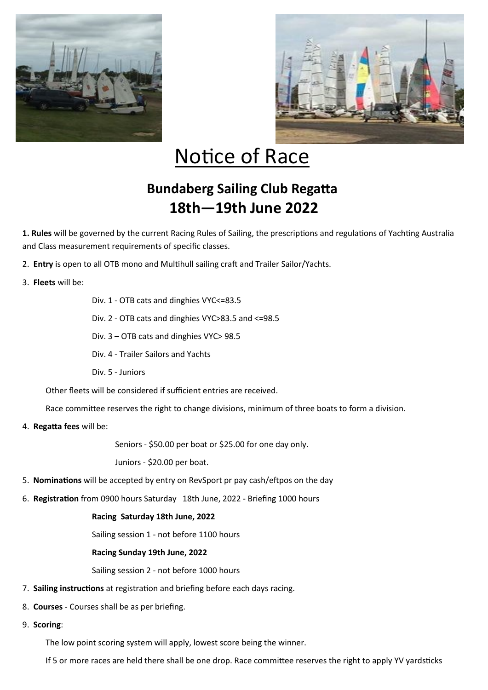



# Notice of Race

## **Bundaberg Sailing Club Regatta 18th—19th June 2022**

**1. Rules** will be governed by the current Racing Rules of Sailing, the prescriptions and regulations of Yachting Australia and Class measurement requirements of specific classes.

- 2. **Entry** is open to all OTB mono and Multihull sailing craft and Trailer Sailor/Yachts.
- 3. **Fleets** will be:

Div. 1 - OTB cats and dinghies VYC<=83.5

Div. 2 - OTB cats and dinghies VYC>83.5 and <=98.5

Div. 3 – OTB cats and dinghies VYC> 98.5

Div. 4 - Trailer Sailors and Yachts

Div. 5 - Juniors

Other fleets will be considered if sufficient entries are received.

Race committee reserves the right to change divisions, minimum of three boats to form a division.

4. **Regatta fees** will be:

Seniors - \$50.00 per boat or \$25.00 for one day only.

Juniors - \$20.00 per boat.

- 5. **Nominations** will be accepted by entry on RevSport pr pay cash/eftpos on the day
- 6. **Registration** from 0900 hours Saturday 18th June, 2022 Briefing 1000 hours

#### **Racing Saturday 18th June, 2022**

Sailing session 1 - not before 1100 hours

#### **Racing Sunday 19th June, 2022**

Sailing session 2 - not before 1000 hours

- 7. **Sailing instructions** at registration and briefing before each days racing.
- 8. **Courses** Courses shall be as per briefing.
- 9. **Scoring**:

The low point scoring system will apply, lowest score being the winner.

If 5 or more races are held there shall be one drop. Race committee reserves the right to apply YV yardsticks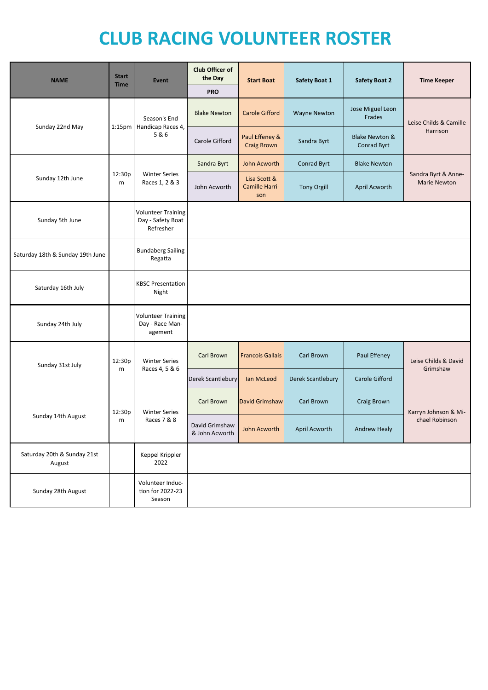# **CLUB RACING VOLUNTEER ROSTER**

| <b>NAME</b>                           | <b>Start</b><br><b>Time</b> | <b>Event</b>                                                | Club Officer of<br>the Day       | <b>Start Boat</b>                     | <b>Safety Boat 1</b> | <b>Safety Boat 2</b>                     | <b>Time Keeper</b>                         |
|---------------------------------------|-----------------------------|-------------------------------------------------------------|----------------------------------|---------------------------------------|----------------------|------------------------------------------|--------------------------------------------|
|                                       |                             |                                                             | <b>PRO</b>                       |                                       |                      |                                          |                                            |
| Sunday 22nd May                       | 1:15 <sub>pm</sub>          | Season's End<br>Handicap Races 4,<br>5&6                    | <b>Blake Newton</b>              | <b>Carole Gifford</b>                 | <b>Wayne Newton</b>  | Jose Miguel Leon<br>Frades               | Leise Childs & Camille<br>Harrison         |
|                                       |                             |                                                             | Carole Gifford                   | Paul Effeney &<br><b>Craig Brown</b>  | Sandra Byrt          | <b>Blake Newton &amp;</b><br>Conrad Byrt |                                            |
|                                       | 12:30p<br>m                 | <b>Winter Series</b><br>Races 1, 2 & 3                      | Sandra Byrt                      | <b>John Acworth</b>                   | Conrad Byrt          | <b>Blake Newton</b>                      | Sandra Byrt & Anne-<br><b>Marie Newton</b> |
| Sunday 12th June                      |                             |                                                             | John Acworth                     | Lisa Scott &<br>Camille Harri-<br>son | <b>Tony Orgill</b>   | <b>April Acworth</b>                     |                                            |
| Sunday 5th June                       |                             | <b>Volunteer Training</b><br>Day - Safety Boat<br>Refresher |                                  |                                       |                      |                                          |                                            |
| Saturday 18th & Sunday 19th June      |                             | <b>Bundaberg Sailing</b><br>Regatta                         |                                  |                                       |                      |                                          |                                            |
| Saturday 16th July                    |                             | <b>KBSC Presentation</b><br>Night                           |                                  |                                       |                      |                                          |                                            |
| Sunday 24th July                      |                             | <b>Volunteer Training</b><br>Day - Race Man-<br>agement     |                                  |                                       |                      |                                          |                                            |
| Sunday 31st July                      | 12:30p<br>m                 | <b>Winter Series</b><br>Races 4, 5 & 6                      | Carl Brown                       | <b>Francois Gallais</b>               | Carl Brown           | Paul Effeney                             | Leise Childs & David<br>Grimshaw           |
|                                       |                             |                                                             | Derek Scantlebury                | Ian McLeod                            | Derek Scantlebury    | Carole Gifford                           |                                            |
| Sunday 14th August                    | 12:30p<br>m                 | <b>Winter Series</b><br>Races 7 & 8                         | Carl Brown                       | <b>David Grimshaw</b>                 | Carl Brown           | <b>Craig Brown</b>                       | Karryn Johnson & Mi-<br>chael Robinson     |
|                                       |                             |                                                             | David Grimshaw<br>& John Acworth | John Acworth                          | April Acworth        | <b>Andrew Healy</b>                      |                                            |
| Saturday 20th & Sunday 21st<br>August |                             | Keppel Krippler<br>2022                                     |                                  |                                       |                      |                                          |                                            |
| Sunday 28th August                    |                             | Volunteer Induc-<br>tion for 2022-23<br>Season              |                                  |                                       |                      |                                          |                                            |